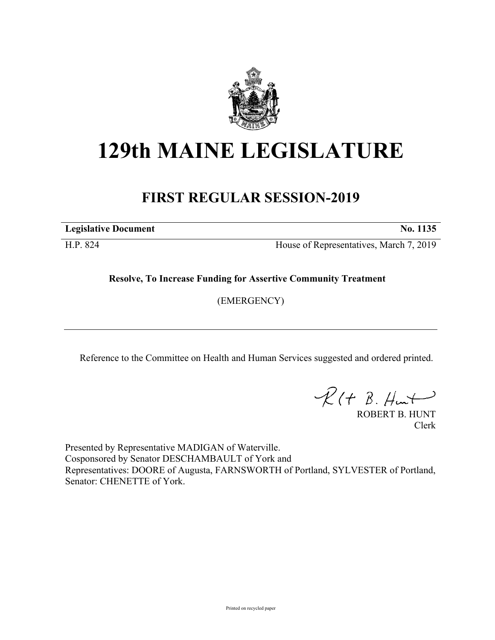

## **129th MAINE LEGISLATURE**

## **FIRST REGULAR SESSION-2019**

**Legislative Document No. 1135**

H.P. 824 House of Representatives, March 7, 2019

**Resolve, To Increase Funding for Assertive Community Treatment**

(EMERGENCY)

Reference to the Committee on Health and Human Services suggested and ordered printed.

 $\mathcal{R}(t \; \mathcal{B}, \mathcal{H}_{\mathsf{int}})$ 

ROBERT B. HUNT Clerk

Presented by Representative MADIGAN of Waterville. Cosponsored by Senator DESCHAMBAULT of York and Representatives: DOORE of Augusta, FARNSWORTH of Portland, SYLVESTER of Portland, Senator: CHENETTE of York.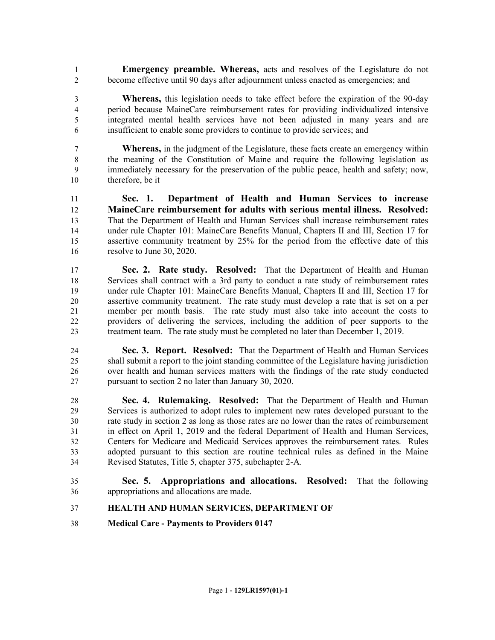**Emergency preamble. Whereas,** acts and resolves of the Legislature do not become effective until 90 days after adjournment unless enacted as emergencies; and

- **Whereas,** this legislation needs to take effect before the expiration of the 90-day period because MaineCare reimbursement rates for providing individualized intensive integrated mental health services have not been adjusted in many years and are insufficient to enable some providers to continue to provide services; and
- **Whereas,** in the judgment of the Legislature, these facts create an emergency within the meaning of the Constitution of Maine and require the following legislation as immediately necessary for the preservation of the public peace, health and safety; now, therefore, be it
- **Sec. 1. Department of Health and Human Services to increase MaineCare reimbursement for adults with serious mental illness. Resolved:** That the Department of Health and Human Services shall increase reimbursement rates under rule Chapter 101: MaineCare Benefits Manual, Chapters II and III, Section 17 for assertive community treatment by 25% for the period from the effective date of this resolve to June 30, 2020.
- **Sec. 2. Rate study. Resolved:** That the Department of Health and Human Services shall contract with a 3rd party to conduct a rate study of reimbursement rates under rule Chapter 101: MaineCare Benefits Manual, Chapters II and III, Section 17 for assertive community treatment. The rate study must develop a rate that is set on a per member per month basis. The rate study must also take into account the costs to providers of delivering the services, including the addition of peer supports to the treatment team. The rate study must be completed no later than December 1, 2019.
- **Sec. 3. Report. Resolved:** That the Department of Health and Human Services shall submit a report to the joint standing committee of the Legislature having jurisdiction over health and human services matters with the findings of the rate study conducted pursuant to section 2 no later than January 30, 2020.
- **Sec. 4. Rulemaking. Resolved:** That the Department of Health and Human Services is authorized to adopt rules to implement new rates developed pursuant to the rate study in section 2 as long as those rates are no lower than the rates of reimbursement in effect on April 1, 2019 and the federal Department of Health and Human Services, Centers for Medicare and Medicaid Services approves the reimbursement rates. Rules adopted pursuant to this section are routine technical rules as defined in the Maine Revised Statutes, Title 5, chapter 375, subchapter 2-A.
- **Sec. 5. Appropriations and allocations. Resolved:** That the following appropriations and allocations are made.
- **HEALTH AND HUMAN SERVICES, DEPARTMENT OF**
- **Medical Care Payments to Providers 0147**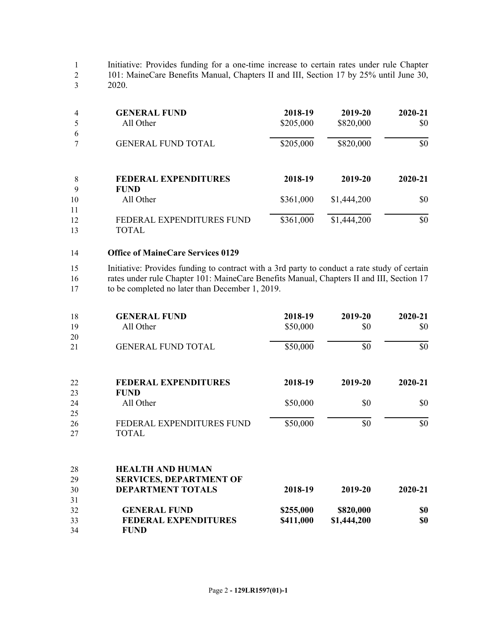1 Initiative: Provides funding for a one-time increase to certain rates under rule Chapter 2 101: MaineCare Benefits Manual, Chapters II and III, Section 17 by 25% until June 30, 2020. 3 2020.

| 4        | <b>GENERAL FUND</b><br>All Other           | 2018-19<br>\$205,000 | 2019-20<br>\$820,000 | 2020-21<br>\$0 |
|----------|--------------------------------------------|----------------------|----------------------|----------------|
| 6        | <b>GENERAL FUND TOTAL</b>                  | \$205,000            | \$820,000            | \$0            |
| 8<br>9   | <b>FEDERAL EXPENDITURES</b><br><b>FUND</b> | 2018-19              | 2019-20              | 2020-21        |
| 10<br>11 | All Other                                  | \$361,000            | \$1,444,200          | \$0            |
| 12<br>13 | FEDERAL EXPENDITURES FUND<br>TOTAL         | \$361,000            | \$1,444,200          | \$0            |

## 14 **Office of MaineCare Services 0129**

15 Initiative: Provides funding to contract with a 3rd party to conduct a rate study of certain 16 rates under rule Chapter 101: MaineCare Benefits Manual, Chapters II and III, Section 17 17 to be completed no later than December 1, 2019.

| 18 | <b>GENERAL FUND</b>            | 2018-19   | 2019-20     | 2020-21 |
|----|--------------------------------|-----------|-------------|---------|
| 19 | All Other                      | \$50,000  | \$0         | \$0     |
| 20 |                                |           |             |         |
| 21 | <b>GENERAL FUND TOTAL</b>      | \$50,000  | \$0         | \$0     |
| 22 | <b>FEDERAL EXPENDITURES</b>    | 2018-19   | 2019-20     | 2020-21 |
| 23 | <b>FUND</b>                    |           |             |         |
| 24 | All Other                      | \$50,000  | \$0         | \$0     |
| 25 |                                |           |             |         |
| 26 | FEDERAL EXPENDITURES FUND      | \$50,000  | \$0         | \$0     |
| 27 | <b>TOTAL</b>                   |           |             |         |
| 28 | <b>HEALTH AND HUMAN</b>        |           |             |         |
| 29 | <b>SERVICES, DEPARTMENT OF</b> |           |             |         |
| 30 | <b>DEPARTMENT TOTALS</b>       | 2018-19   | 2019-20     | 2020-21 |
| 31 |                                |           |             |         |
| 32 | <b>GENERAL FUND</b>            | \$255,000 | \$820,000   | \$0     |
| 33 | <b>FEDERAL EXPENDITURES</b>    | \$411,000 | \$1,444,200 | \$0     |
| 34 | <b>FUND</b>                    |           |             |         |